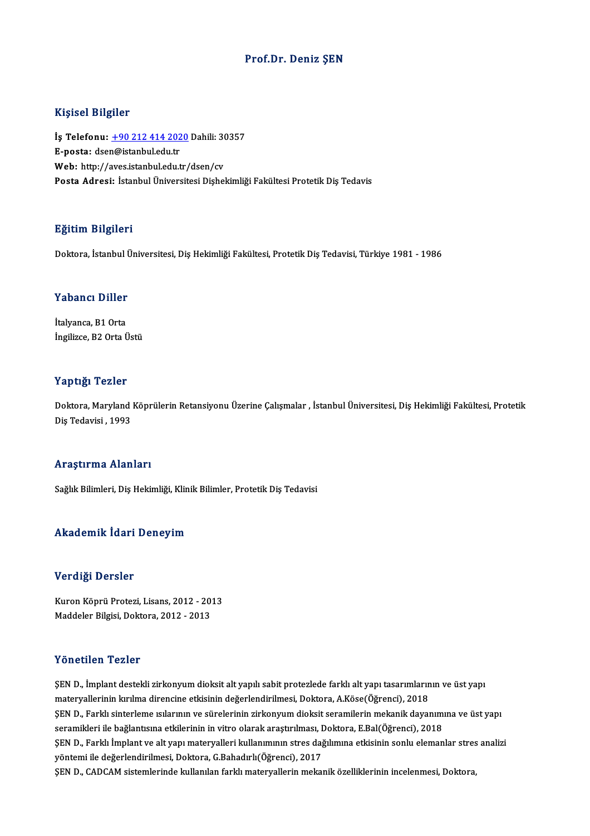### Prof.Dr. Deniz ŞEN

#### Kişisel Bilgiler

Kişisel Bilgiler<br>İş Telefonu: <u>+90 212 414 2020</u> Dahili: 30357<br>E nasta: dsan@istanbul.edu.tr 11191001 DABA01<br>İş Telefonu: <u>+90 212 414 202</u><br>E-posta: dse[n@istanbul.edu.tr](tel:+90 212 414 2020) İş Telefonu: <u>+90 212 414 2020</u> Dahili: 3(<br>E-posta: dsen@istanbul.edu.tr<br>Web: http://aves.istanbul.edu.tr/dsen/cv<br>Posta Adresi: İstanbul Üniversitesi Dishel E-posta: dsen@istanbul.edu.tr<br>Web: http://aves.istanbul.edu.tr/dsen/cv<br>Posta Adresi: İstanbul Üniversitesi Dishekimliği Fakültesi Protetik Dis Tedavis

#### Eğitim Bilgileri

Doktora, İstanbul Üniversitesi, Diş Hekimliği Fakültesi, Protetik Diş Tedavisi, Türkiye 1981 - 1986

# Doktora, istanbul t<br>Yabancı Diller

**Yabancı Diller**<br>İtalyanca, B1 Orta<br>İngilizee, B2 Orta İ İtalyanca, B1 Orta<br>İngilizce, B2 Orta Üstü

#### Yaptığı Tezler

**Yaptığı Tezler**<br>Doktora, Maryland Köprülerin Retansiyonu Üzerine Çalışmalar , İstanbul Üniversitesi, Diş Hekimliği Fakültesi, Protetik<br>Diş Tedavisi, 1993 1 diplomatikan<br>Doktora, Maryland<br>Diş Tedavisi , 1993

# Diş Tedavisi , 1993<br>Araştırma Alanları

Sağlık Bilimleri, Diş Hekimliği, Klinik Bilimler, Protetik Diş Tedavisi

#### Akademik İdari Deneyim

#### Verdiği Dersler

Verdiği Dersler<br>Kuron Köprü Protezi, Lisans, 2012 - 2013<br>Maddeler Bilgisi, Dektera, 2012 - 2013 vor argr *Dorbior*<br>Kuron Köprü Protezi, Lisans, 2012 - 201<br>Maddeler Bilgisi, Doktora, 2012 - 2013 Maddeler Bilgisi, Doktora, 2012 - 2013<br>Yönetilen Tezler

ŞEND., İmplantdestekli zirkonyumdioksitaltyapılı sabitprotezlede farklıaltyapı tasarımlarınınve üstyapı materyalerininkırılma direncine etkisinindeğerlendirilmesi,Doktora,A.Köse(Öğrenci),2018 SEN D., Farklı sinterleme ısılarının ve sürelerinin zirkonyum dioksit seramilerin mekanik dayanımına ve üst yapı materyallerinin kırılma direncine etkisinin değerlendirilmesi, Doktora, A.Köse(Öğrenci), 2018<br>ŞEN D., Farklı sinterleme ısılarının ve sürelerinin zirkonyum dioksit seramilerin mekanik dayanım<br>seramikleri ile bağlantısına e ŞEN D., Farklı sinterleme ısılarının ve sürelerinin zirkonyum dioksit seramilerin mekanik dayanımına ve üst yapı<br>seramikleri ile bağlantısına etkilerinin in vitro olarak araştırılması, Doktora, E.Bal(Öğrenci), 2018<br>ŞEN D., seramikleri ile bağlantısına etkilerinin in vitro olarak araştırılması, I<br>ŞEN D., Farklı İmplant ve alt yapı materyalleri kullanımının stres dağ<br>yöntemi ile değerlendirilmesi, Doktora, G.Bahadırlı(Öğrenci), 2017<br>SEN D. GAD ŞEN D., Farklı İmplant ve alt yapı materyalleri kullanımının stres dağılımına etkisinin sonlu elemanlar stres<br>yöntemi ile değerlendirilmesi, Doktora, G.Bahadırlı(Öğrenci), 2017<br>ŞEN D., CADCAM sistemlerinde kullanılan farkl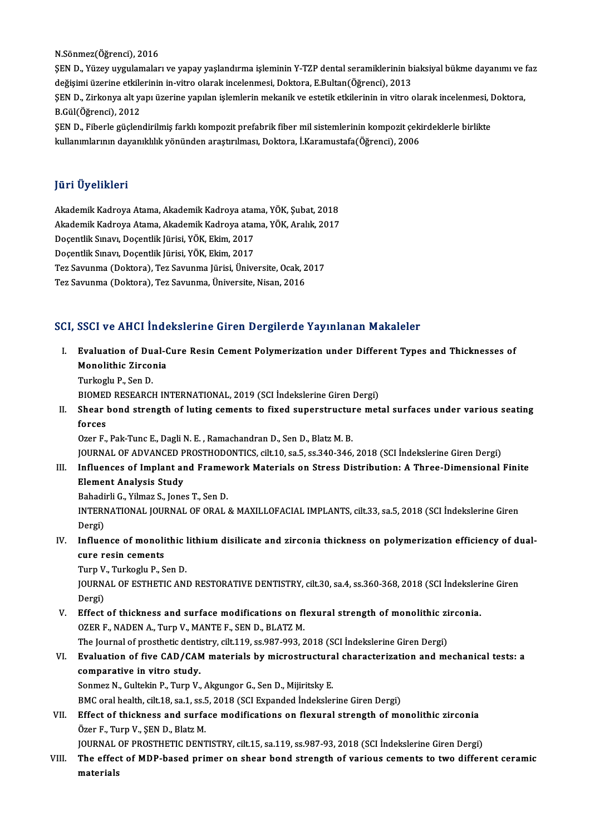N.Sönmez(Öğrenci),2016

N.Sönmez(Öğrenci), 2016<br>ŞEN D., Yüzey uygulamaları ve yapay yaşlandırma işleminin Y-TZP dental seramiklerinin biaksiyal bükme dayanımı ve faz<br>değisimi üzerine etkilerinin in vitre olarak incelenmesi. Dektore, E Bultar (Öğr N.Sönmez(Öğrenci), 2016<br>ŞEN D., Yüzey uygulamaları ve yapay yaşlandırma işleminin Y-TZP dental seramiklerinin bi<br>değişimi üzerine etkilerinin in-vitro olarak incelenmesi, Doktora, E.Bultan(Öğrenci), 2013<br>SEN D. Zirkonya al ŞEN D., Yüzey uygulamaları ve yapay yaşlandırma işleminin Y-TZP dental seramiklerinin biaksiyal bükme dayanımı ve<br>değişimi üzerine etkilerinin in-vitro olarak incelenmesi, Doktora, E.Bultan(Öğrenci), 2013<br>ŞEN D., Zirkonya değişimi üzerine etkile<br>ŞEN D., Zirkonya alt ya<br>B.Gül(Öğrenci), 2012<br>SEN D., Fiberle güslen ŞEN D., Zirkonya alt yapı üzerine yapılan işlemlerin mekanik ve estetik etkilerinin in vitro olarak incelenmesi, I<br>B.Gül(Öğrenci), 2012<br>ŞEN D., Fiberle güçlendirilmiş farklı kompozit prefabrik fiber mil sistemlerinin kompo

B.Gül(Öğrenci), 2012<br>ŞEN D., Fiberle güçlendirilmiş farklı kompozit prefabrik fiber mil sistemlerinin kompozit çekirdeklerle birlikte<br>kullanımlarının dayanıklılık yönünden araştırılması, Doktora, İ.Karamustafa(Öğrenci), 20

### JüriÜyelikleri

Jüri Üyelikleri<br>Akademik Kadroya Atama, Akademik Kadroya atama, YÖK, Şubat, 2018<br>Akademik Kadroya Atama, Akademik Kadroya atama, YÖK, Aralık, 2017 yarr Əyərindəri<br>Akademik Kadroya Atama, Akademik Kadroya atama, YÖK, Şubat, 2018<br>Akademik Kadroya Atama, Akademik Kadroya atama, YÖK, Aralık, 2017<br>Dosantlik Sınavr Dosantlik Jürisi, YÖK, Flim, 2017 Akademik Kadroya Atama, Akademik Kadroya atar<br>Akademik Kadroya Atama, Akademik Kadroya atar<br>Doçentlik Sınavı, Doçentlik Jürisi, YÖK, Ekim, 2017<br>Docentlik Sınavı, Docentlik Jürisi, YÖK, Ekim, 2017 Akademik Kadroya Atama, Akademik Kadroya atar<br>Doçentlik Sınavı, Doçentlik Jürisi, YÖK, Ekim, 2017<br>Doçentlik Sınavı, Doçentlik Jürisi, YÖK, Ekim, 2017<br>Tez Sayunma (Doltora), Tez Sayunma Jürisi, Üniye Doçentlik Sınavı, Doçentlik Jürisi, YÖK, Ekim, 2017<br>Doçentlik Sınavı, Doçentlik Jürisi, YÖK, Ekim, 2017<br>Tez Savunma (Doktora), Tez Savunma Jürisi, Üniversite, Ocak, 2017<br>Tez Savunma (Doktora), Tez Savunma Jürisi, Üniversit Doçentlik Sınavı, Doçentlik Jürisi, YÖK, Ekim, 2017<br>Tez Savunma (Doktora), Tez Savunma Jürisi, Üniversite, Ocak, 2<br>Tez Savunma (Doktora), Tez Savunma, Üniversite, Nisan, 2016

# Tez Savunma (Doktora), Tez Savunma, Üniversite, Nisan, 2016<br>SCI, SSCI ve AHCI İndekslerine Giren Dergilerde Yayınlanan Makaleler

- I. SSCI ve AHCI İndekslerine Giren Dergilerde Yayınlanan Makaleler<br>I. Evaluation of Dual-Cure Resin Cement Polymerization under Different Types and Thicknesses of<br>Manelithis Zirsonia Bour voltrier max<br>Evaluation of Dual-C<br>Monolithic Zirconia<br>Turkoslu B. Sen D. Evaluation of Du<br>Monolithic Zircol<br>Turkoglu P., Sen D.<br>PIOMED BESEARCH Monolithic Zirconia<br>Turkoglu P., Sen D.<br>BIOMED RESEARCH INTERNATIONAL, 2019 (SCI İndekslerine Giren Dergi)<br>Shear band stransth of luting samants ta fixed sunarstrustura mat
	-

Turkoglu P., Sen D.<br>BIOMED RESEARCH INTERNATIONAL, 2019 (SCI İndekslerine Giren Dergi)<br>II. Shear bond strength of luting cements to fixed superstructure metal surfaces under various seating<br>forces BIOMEI<br>Shear<br>forces<br>Ozer E

Ozer F., Pak-Tunc E., Dagli N. E., Ramachandran D., Sen D., Blatz M. B.

JOURNAL OF ADVANCED PROSTHODONTICS, cilt.10, sa.5, ss.340-346, 2018 (SCI İndekslerine Giren Dergi)

Ozer F., Pak-Tunc E., Dagli N. E. , Ramachandran D., Sen D., Blatz M. B.<br>JOURNAL OF ADVANCED PROSTHODONTICS, cilt.10, sa.5, ss.340-346, 2018 (SCI İndekslerine Giren Dergi)<br>III. Influences of Implant and Framework Materials Element Analysis Study<br>Bahadirli G., Yilmaz S., Jones T., Sen D. Influences of Implant and Framey<br>Element Analysis Study<br>Bahadirli G., Yilmaz S., Jones T., Sen D.<br>INTERNATIONAL JOURNAL OF ORAL

Element Analysis Study<br>Bahadirli G., Yilmaz S., Jones T., Sen D.<br>INTERNATIONAL JOURNAL OF ORAL & MAXILLOFACIAL IMPLANTS, cilt.33, sa.5, 2018 (SCI İndekslerine Giren Bahadi<br>INTERI<br>Dergi)<br>Influer INTERNATIONAL JOURNAL OF ORAL & MAXILLOFACIAL IMPLANTS, cilt.33, sa.5, 2018 (SCI İndekslerine Giren<br>Dergi)<br>IV. Influence of monolithic lithium disilicate and zirconia thickness on polymerization efficiency of dual-<br>quee re

Dergi)<br>Influence of monoli<br>cure resin cements<br>Turn V. Turkeslu B. S **Influence of monolithic |<br>cure resin cements<br>Turp V., Turkoglu P., Sen D.<br>JOUPNAL OF ESTUETIC ANI** 

cure resin cements<br>Turp V., Turkoglu P., Sen D.<br>JOURNAL OF ESTHETIC AND RESTORATIVE DENTISTRY, cilt.30, sa.4, ss.360-368, 2018 (SCI İndekslerine Giren<br>Dergi) Turp V<br>JOURN<br>Dergi)<br>Effect JOURNAL OF ESTHETIC AND RESTORATIVE DENTISTRY, cilt.30, sa.4, ss.360-368, 2018 (SCI indeksler<br>Dergi)<br>V. Effect of thickness and surface modifications on flexural strength of monolithic zirconia.<br>OZER E. NADEN A. Turn V. MA

Dergi)<br>Effect of thickness and surface modifications on fl<br>OZER F., NADEN A., Turp V., MANTE F., SEN D., BLATZ M.<br>The Journal of prestbetis dentistry, silt 119, ss.997,992,2 Effect of thickness and surface modifications on flexural strength of monolithic zi<br>OZER F., NADEN A., Turp V., MANTE F., SEN D., BLATZ M.<br>The Journal of prosthetic dentistry, cilt.119, ss.987-993, 2018 (SCI İndekslerine G

OZER F., NADEN A., Turp V., MANTE F., SEN D., BLATZ M.<br>The Journal of prosthetic dentistry, cilt.119, ss.987-993, 2018 (SCI Indekslerine Giren Dergi)<br>VI. Evaluation of five CAD/CAM materials by microstructural characteriza The Journal of prosthetic denti<br>Evaluation of five CAD/CAN<br>comparative in vitro study.<br>Sonmes N. Cultekin B. Turn V. Evaluation of five CAD/CAM materials by microstructura<br>comparative in vitro study.<br>Sonmez N., Gultekin P., Turp V., Akgungor G., Sen D., Mijiritsky E.<br>PMC srel boakh sik 18 se 1 se 5, 2018 (SCL Eupended indeksies comparative in vitro study.<br>Sonmez N., Gultekin P., Turp V., Akgungor G., Sen D., Mijiritsky E.<br>BMC oral health, cilt.18, sa.1, ss.5, 2018 (SCI Expanded İndekslerine Giren Dergi)<br>Effect of thickness and surfase modificatio

Sonmez N., Gultekin P., Turp V., Akgungor G., Sen D., Mijiritsky E.<br>BMC oral health, cilt.18, sa.1, ss.5, 2018 (SCI Expanded Indekslerine Giren Dergi)<br>VII. Effect of thickness and surface modifications on flexural strength BMC oral health, cilt.18, sa.1, ss.5<br>Effect of thickness and surfa<br>Özer F., Turp V., ŞEN D., Blatz M.<br>JOUPNAL OF PROSTHETIC DENT Effect of thickness and surface modifications on flexural strength of monolithic zirconia<br>Özer F., Turp V., ŞEN D., Blatz M.<br>JOURNAL OF PROSTHETIC DENTISTRY, cilt.15, sa.119, ss.987-93, 2018 (SCI İndekslerine Giren Dergi)<br>

VIII. The effect of MDP-based primer on shear bond strength of various cements to two different ceramic materials JOURNAL<br><mark>The effec</mark><br>materials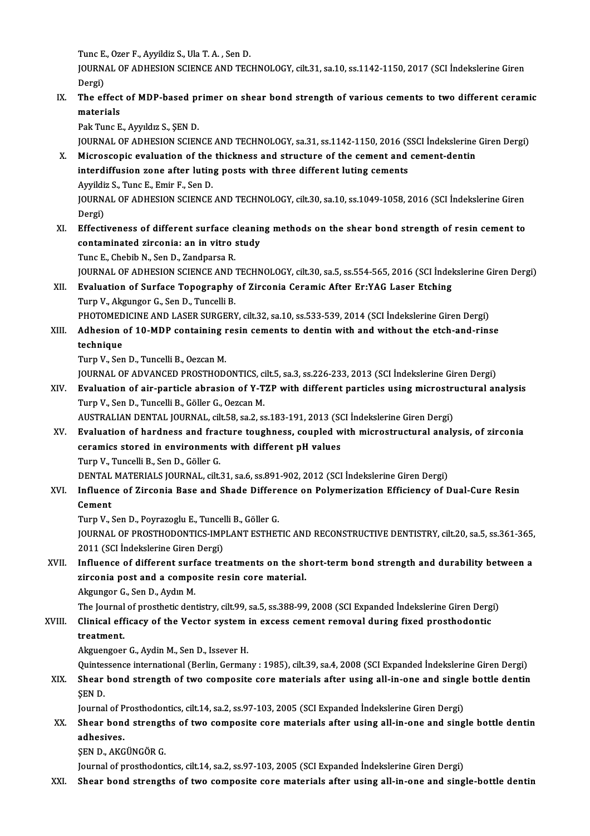Tunc E., Ozer F., Ayyildiz S., Ula T. A., Sen D.

Tunc E., Ozer F., Ayyildiz S., Ula T. A. , Sen D.<br>JOURNAL OF ADHESION SCIENCE AND TECHNOLOGY, cilt.31, sa.10, ss.1142-1150, 2017 (SCI İndekslerine Giren Tunc E<br>JOURN<br>Dergi)<br>The of JOURNAL OF ADHESION SCIENCE AND TECHNOLOGY, cilt.31, sa.10, ss.1142-1150, 2017 (SCI İndekslerine Giren<br>Dergi)<br>IX. The effect of MDP-based primer on shear bond strength of various cements to two different ceramic<br>materials

Dergi)<br>The effect<br>materials<br><sup>Pok Tung E</sup> The effect of MDP-based pr<br>materials<br>Pak Tunc E., Ayyıldız S., ŞEN D.<br>JOUPNAL OF ADHESION SCIEN materials<br>Pak Tunc E., Ayyıldız S., ŞEN D.<br>JOURNAL OF ADHESION SCIENCE AND TECHNOLOGY, sa.31, ss.1142-1150, 2016 (SSCI İndekslerine Giren Dergi)<br>Misrossonis evaluation of the thiskness and structure of the sement and semen

Pak Tunc E., Ayyıldız S., ŞEN D.<br>JOURNAL OF ADHESION SCIENCE AND TECHNOLOGY, sa.31, ss.1142-1150, 2016 (SSCI İndekslerine<br>X. Microscopic evaluation of the thickness and structure of the cement and cement-dentin<br>interdiffus JOURNAL OF ADHESION SCIENCE AND TECHNOLOGY, sa.31, ss.1142-1150, 2016 (S<br>Microscopic evaluation of the thickness and structure of the cement and<br>interdiffusion zone after luting posts with three different luting cements<br>Au Microscopic evaluation of the<br>interdiffusion zone after lutin<br>Ayyildiz S., Tunc E., Emir F., Sen D.<br>JOUPMAL OF ADUESION SCIENCE interdiffusion zone after luting posts with three different luting cements<br>Ayyildiz S., Tunc E., Emir F., Sen D.<br>JOURNAL OF ADHESION SCIENCE AND TECHNOLOGY, cilt.30, sa.10, ss.1049-1058, 2016 (SCI İndekslerine Giren<br>Dergi)

Ayyildi:<br>JOURN<br>Dergi)<br>Effecti

XI. Effectiveness of different surface cleaningmethods on the shear bond strength of resin cement to Dergi)<br>Effectiveness of different surface cleanir<br>contaminated zirconia: an in vitro study<br>Tune E. Chebib N. Sen D. Zandnarse P. Effectiveness of different surface c<br>contaminated zirconia: an in vitro :<br>Tunc E., Chebib N., Sen D., Zandparsa R.<br>JOUPNAL OF ADHESION SCIENCE AND :

Tunc E., Chebib N., Sen D., Zandparsa R.<br>JOURNAL OF ADHESION SCIENCE AND TECHNOLOGY, cilt.30, sa.5, ss.554-565, 2016 (SCI İndekslerine Giren Dergi)

## Tunc E., Chebib N., Sen D., Zandparsa R.<br>JOURNAL OF ADHESION SCIENCE AND TECHNOLOGY, cilt.30, sa.5, ss.554-565, 2016 (SCI İndel<br>XII. Evaluation of Surface Topography of Zirconia Ceramic After Er:YAG Laser Etching<br>Tunn V. A **JOURNAL OF ADHESION SCIENCE AND<br>Evaluation of Surface Topography<br>Turp V., Akgungor G., Sen D., Tuncelli B.<br>PHOTOMEDICINE AND LASER SURGERY** Evaluation of Surface Topography of Zirconia Ceramic After Er:YAG Laser Etching<br>Turp V., Akgungor G., Sen D., Tuncelli B.<br>PHOTOMEDICINE AND LASER SURGERY, cilt.32, sa.10, ss.533-539, 2014 (SCI İndekslerine Giren Dergi)<br>Adh

Turp V., Akgungor G., Sen D., Tuncelli B.<br>PHOTOMEDICINE AND LASER SURGERY, cilt.32, sa.10, ss.533-539, 2014 (SCI İndekslerine Giren Dergi)<br>XIII. Adhesion of 10-MDP containing resin cements to dentin with and without th PHOTOMED<br>Adhesion<br>technique<br>Turn V. Ser Adhesion of 10-MDP containing r<br>technique<br>Turp V., Sen D., Tuncelli B., Oezcan M.<br>JOUPNAL OF ADVANCED PROSTHOD. technique<br>Turp V., Sen D., Tuncelli B., Oezcan M.<br>JOURNAL OF ADVANCED PROSTHODONTICS, cilt.5, sa.3, ss.226-233, 2013 (SCI İndekslerine Giren Dergi)<br>Fyaluation of air particle abrasion of V. T7P with different particles usi

Turp V., Sen D., Tuncelli B., Oezcan M.<br>JOURNAL OF ADVANCED PROSTHODONTICS, cilt.5, sa.3, ss.226-233, 2013 (SCI İndekslerine Giren Dergi)<br>XIV. Evaluation of air-particle abrasion of Y-TZP with different particles using JOURNAL OF ADVANCED PROSTHODONTICS, contract in the sension of Y-T<br>Turp V., Sen D., Tuncelli B., Göller G., Oezcan M.<br>AUSTRALIAN DENTAL JOURNAL si<sup>1</sup>t 59 SR 3 S Evaluation of air-particle abrasion of Y-TZP with different particles using microstru<br>Turp V., Sen D., Tuncelli B., Göller G., Oezcan M.<br>AUSTRALIAN DENTAL JOURNAL, cilt.58, sa.2, ss.183-191, 2013 (SCI İndekslerine Giren De

AUSTRALIAN DENTAL JOURNAL, cilt.58, sa.2, ss.183-191, 2013 (SCI İndekslerine Giren Dergi)

Turp V., Sen D., Tuncelli B., Göller G., Oezcan M.<br>AUSTRALIAN DENTAL JOURNAL, cilt.58, sa.2, ss.183-191, 2013 (SCI İndekslerine Giren Dergi)<br>XV. Evaluation of hardness and fracture toughness, coupled with microstructural a Turp V., Tuncelli B., Sen D., Göller G. ceramics stored in environments with different pH values<br>Turp V., Tuncelli B., Sen D., Göller G.<br>DENTAL MATERIALS JOURNAL, cilt.31, sa.6, ss.891-902, 2012 (SCI İndekslerine Giren Dergi)<br>Influence of Zirsonia Base and Shade

XVI. Influence of Zirconia Base and Shade Difference on Polymerization Efficiency of Dual-Cure Resin DENTAL<br>Influend<br>Cement<br>Turn V Influence of Zirconia Base and Shade Differe<br>Cement<br>Turp V., Sen D., Poyrazoglu E., Tuncelli B., Göller G.<br>JOUPMAL OF PROSTHODONTICS IMPLANT ESTUE?

JOURNAL OF PROSTHODONTICS-IMPLANT ESTHETIC AND RECONSTRUCTIVE DENTISTRY, cilt.20, sa.5, ss.361-365, 1<br>2011 (SCI İndekslerine Giren Dergi) Turp V., Sen D., Poyrazoglu E., Tuncel<br>JOURNAL OF PROSTHODONTICS-IMP<br>2011 (SCI İndekslerine Giren Dergi)<br>Influance of different surface tre JOURNAL OF PROSTHODONTICS-IMPLANT ESTHETIC AND RECONSTRUCTIVE DENTISTRY, cilt.20, sa.5, ss.361-365,<br>2011 (SCI İndekslerine Giren Dergi)<br>XVII. Influence of different surface treatments on the short-term bond strength and du

## 2011 (SCI İndekslerine Giren Dergi)<br>Influence of different surface treatments on the sh<br>zirconia post and a composite resin core material. zirconia post and a composite resin core material.<br>Akgungor G., Sen D., Aydın M. zirconia post and a composite resin core material.<br>Akgungor G., Sen D., Aydın M.<br>The Journal of prosthetic dentistry, cilt.99, sa.5, ss.388-99, 2008 (SCI Expanded İndekslerine Giren Dergi)<br>Clinical officeau of the Vector s

XVIII. Clinical efficacy of the Vector system in excess cement removal during fixed prosthodontic<br>treatment. The Journal<br>Clinical eff<br>treatment.<br>Akgyongoot

Akguengoer G., Aydin M., Sen D., Issever H.

treatment.<br>Akguengoer G., Aydin M., Sen D., Issever H.<br>Quintessence international (Berlin, Germany : 1985), cilt.39, sa.4, 2008 (SCI Expanded İndekslerine Giren Dergi)<br>Shear bond strength of two semnesite sare materials af

Akguengoer G., Aydin M., Sen D., Issever H.<br>Quintessence international (Berlin, Germany : 1985), cilt.39, sa.4, 2008 (SCI Expanded İndekslerine Giren Dergi)<br>XIX. Shear bond strength of two composite core materials after us Quintes<br>Shear<br>ŞEN D.<br>Journa Shear bond strength of two composite core materials after using all-in-one and single<br>SEN D.<br>Journal of Prosthodontics, cilt.14, sa.2, ss.97-103, 2005 (SCI Expanded İndekslerine Giren Dergi)<br>Shear bond strengthe of two com

\$EN D.<br>Journal of Prosthodontics, cilt.14, sa.2, ss.97-103, 2005 (SCI Expanded İndekslerine Giren Dergi)<br>XX. Shear bond strengths of two composite core materials after using all-in-one and single bottle dentin<br>adhasiya Journal of Prosthodontics, cilt.14, sa.2, ss.97-103, 2005 (SCI Expanded Indekslerine Giren Dergi)<br>Shear bond strengths of two composite core materials after using all-in-one and sing<br>adhesives.<br>SEN D., AKGÜNGÖR G. Shear bond strengt<br>adhesives.<br>ŞEN D., AKGÜNGÖR G.<br>Journal of prostbodor

Journal of prosthodontics, cilt.14, sa.2, ss.97-103, 2005 (SCI Expanded İndekslerine Giren Dergi)

XXI. Shear bond strengths of two composite core materials after using all-in-one and single-bottle dentin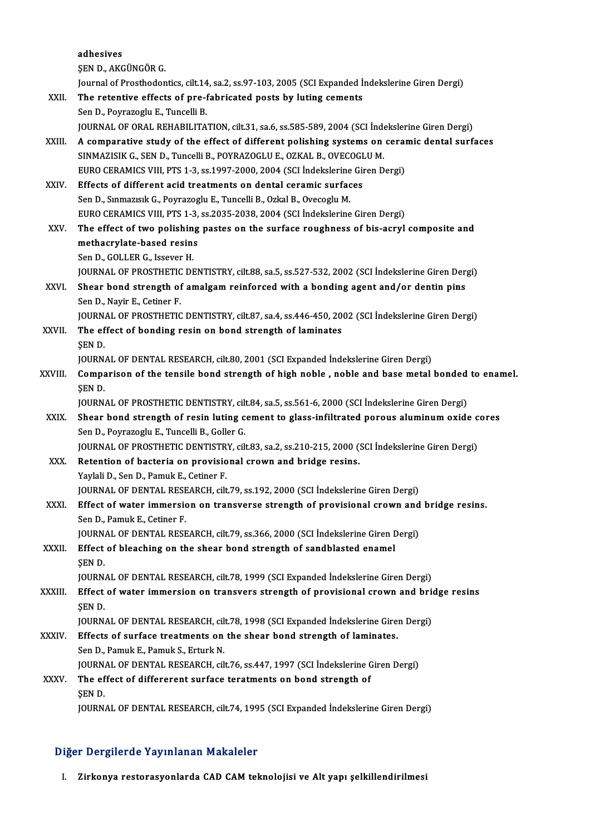|         | adhesives                                                                                                                                        |
|---------|--------------------------------------------------------------------------------------------------------------------------------------------------|
|         | ŞEN D., AKGÜNGÖR G.                                                                                                                              |
|         | Journal of Prosthodontics, cilt.14, sa.2, ss.97-103, 2005 (SCI Expanded İndekslerine Giren Dergi)                                                |
| XXII.   | The retentive effects of pre-fabricated posts by luting cements                                                                                  |
|         | Sen D., Poyrazoglu E., Tuncelli B.                                                                                                               |
|         | JOURNAL OF ORAL REHABILITATION, cilt.31, sa.6, ss.585-589, 2004 (SCI İndekslerine Giren Dergi)                                                   |
| XXIII.  | A comparative study of the effect of different polishing systems on ceramic dental surfaces                                                      |
|         | SINMAZISIK G., SEN D., Tuncelli B., POYRAZOGLU E., OZKAL B., OVECOGLU M.                                                                         |
|         | EURO CERAMICS VIII, PTS 1-3, ss.1997-2000, 2004 (SCI İndekslerine Giren Dergi)                                                                   |
| XXIV.   | Effects of different acid treatments on dental ceramic surfaces                                                                                  |
|         | Sen D., Sınmazısık G., Poyrazoglu E., Tuncelli B., Ozkal B., Ovecoglu M.                                                                         |
|         | EURO CERAMICS VIII, PTS 1-3, ss.2035-2038, 2004 (SCI İndekslerine Giren Dergi)                                                                   |
| XXV.    | The effect of two polishing pastes on the surface roughness of bis-acryl composite and                                                           |
|         | methacrylate-based resins                                                                                                                        |
|         | Sen D., GOLLER G., Issever H.                                                                                                                    |
|         | JOURNAL OF PROSTHETIC DENTISTRY, cilt.88, sa.5, ss.527-532, 2002 (SCI Indekslerine Giren Dergi)                                                  |
| XXVI.   | Shear bond strength of amalgam reinforced with a bonding agent and/or dentin pins                                                                |
|         | Sen D., Nayir E., Cetiner F.                                                                                                                     |
|         | JOURNAL OF PROSTHETIC DENTISTRY, cilt.87, sa.4, ss.446-450, 2002 (SCI Indekslerine Giren Dergi)                                                  |
| XXVII.  | The effect of bonding resin on bond strength of laminates                                                                                        |
|         | SEN D.                                                                                                                                           |
|         | JOURNAL OF DENTAL RESEARCH, cilt.80, 2001 (SCI Expanded Indekslerine Giren Dergi)                                                                |
| XXVIII. | Comparison of the tensile bond strength of high noble, noble and base metal bonded to enamel.                                                    |
|         | <b>SEND</b>                                                                                                                                      |
|         | JOURNAL OF PROSTHETIC DENTISTRY, cilt.84, sa.5, ss.561-6, 2000 (SCI İndekslerine Giren Dergi)                                                    |
| XXIX.   | Shear bond strength of resin luting cement to glass-infiltrated porous aluminum oxide cores                                                      |
|         | Sen D., Poyrazoglu E., Tuncelli B., Goller G.<br>JOURNAL OF PROSTHETIC DENTISTRY, cilt.83, sa.2, ss.210-215, 2000 (SCI İndekslerine Giren Dergi) |
| XXX.    | Retention of bacteria on provisional crown and bridge resins.                                                                                    |
|         | Yaylali D., Sen D., Pamuk E., Cetiner F.                                                                                                         |
|         | JOURNAL OF DENTAL RESEARCH, cilt.79, ss.192, 2000 (SCI Indekslerine Giren Dergi)                                                                 |
| XXXI.   | Effect of water immersion on transverse strength of provisional crown and bridge resins.                                                         |
|         | Sen D., Pamuk E., Cetiner F.                                                                                                                     |
|         | JOURNAL OF DENTAL RESEARCH, cilt.79, ss.366, 2000 (SCI Indekslerine Giren Dergi)                                                                 |
| XXXII.  | Effect of bleaching on the shear bond strength of sandblasted enamel                                                                             |
|         | ŞEN D.                                                                                                                                           |
|         | JOURNAL OF DENTAL RESEARCH, cilt.78, 1999 (SCI Expanded Indekslerine Giren Dergi)                                                                |
| XXXIII. | Effect of water immersion on transvers strength of provisional crown and bridge resins                                                           |
|         | ŞEN D.                                                                                                                                           |
|         | JOURNAL OF DENTAL RESEARCH, cilt.78, 1998 (SCI Expanded Indekslerine Giren Dergi)                                                                |
| XXXIV.  | Effects of surface treatments on the shear bond strength of laminates.                                                                           |
|         | Sen D., Pamuk E., Pamuk S., Erturk N.                                                                                                            |
|         | JOURNAL OF DENTAL RESEARCH, cilt.76, ss.447, 1997 (SCI İndekslerine Giren Dergi)                                                                 |
| XXXV.   | The effect of differerent surface teratments on bond strength of                                                                                 |
|         | ŞEN D.                                                                                                                                           |
|         | JOURNAL OF DENTAL RESEARCH, cilt.74, 1995 (SCI Expanded Indekslerine Giren Dergi)                                                                |
|         |                                                                                                                                                  |

### Diğer Dergilerde Yayınlanan Makaleler

I. Zirkonya restorasyonlarda CAD CAM teknolojisi ve Alt yapı şelkillendirilmesi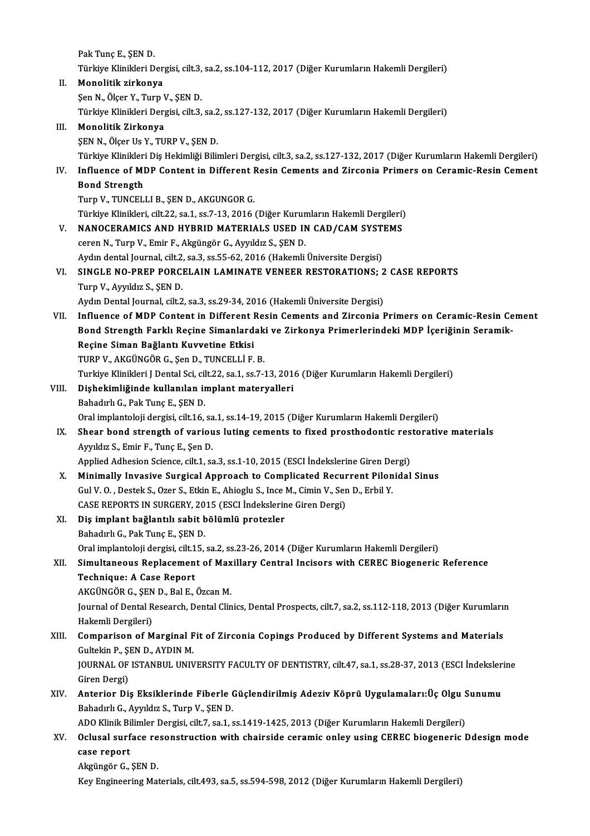Pak Tunç E., ŞEN D. Türkiye Klinikleri Dergisi, cilt.3, sa.2, ss.104-112, 2017 (Diğer Kurumların Hakemli Dergileri) II. Monolitik zirkonya ŞenN.,Ölçer Y.,TurpV.,ŞEND. Türkiye Klinikleri Dergisi, cilt.3, sa.2, ss.127-132, 2017 (Diğer Kurumların Hakemli Dergileri) III. Monolitik Zirkonya ŞEN N., Ölçer Us Y., TURP V., ŞEN D. Türkiye Klinikleri Diş Hekimliği Bilimleri Dergisi, cilt.3, sa.2, ss.127-132, 2017 (Diğer Kurumların Hakemli Dergileri) ŞEN N., Ölçer Us Y., TURP V., ŞEN D.<br>Türkiye Klinikleri Diş Hekimliği Bilimleri Dergisi, cilt.3, sa.2, ss.127-132, 2017 (Diğer Kurumların Hakemli Dergileri)<br>IV. Influence of MDP Content in Different Resin Cements and Zirco Türkiye Klinikleri<br>Influence of MI<br>Bond Strength<br>Turn V. TUNCEL Influence of MDP Content in Different I<br>Bond Strength<br>Turp V., TUNCELLI B., ŞEN D., AKGUNGOR G.<br>Türkiye Klinikleri, silt 22, sə 1, sə 7, 12, 2016. Bond Strength<br>Turp V., TUNCELLI B., ŞEN D., AKGUNGOR G.<br>Türkiye Klinikleri, cilt.22, sa.1, ss.7-13, 2016 (Diğer Kurumların Hakemli Dergileri) V. NANOCERAMICS AND HYBRID MATERIALS USED IN CAD/CAMSYSTEMS cerenN.,TurpV.,Emir F.,AkgüngörG.,Ayyıldız S.,ŞEND. NANOCERAMICS AND HYBRID MATERIALS USED IN CAD/CAM SYST<br>ceren N., Turp V., Emir F., Akgüngör G., Ayyıldız S., ŞEN D.<br>Aydın dental Journal, cilt.2, sa.3, ss.55-62, 2016 (Hakemli Üniversite Dergisi)<br>SINCLE NO PRER RORCELAIN L ceren N., Turp V., Emir F., Akgüngör G., Ayyıldız S., ŞEN D.<br>Aydın dental Journal, cilt.2, sa.3, ss.55-62, 2016 (Hakemli Üniversite Dergisi)<br>VI. SINGLE NO-PREP PORCELAIN LAMINATE VENEER RESTORATIONS; 2 CASE REPORTS<br>Turn V. Aydın dental Journal, cilt.2<br>SINGLE NO-PREP PORC.<br>Turp V., Ayyıldız S., ŞEN D.<br>Aydın Dental Journal, cilt.2 SINGLE NO-PREP PORCELAIN LAMINATE VENEER RESTORATIONS; 2<br>Turp V., Ayyıldız S., ŞEN D.<br>Aydın Dental Journal, cilt.2, sa.3, ss.29-34, 2016 (Hakemli Üniversite Dergisi)<br>Influence of MDB Content in Different Besin Comente and Turp V., Ayyıldız S., ŞEN D.<br>Aydın Dental Journal, cilt.2, sa.3, ss.29-34, 2016 (Hakemli Üniversite Dergisi)<br>VII. Influence of MDP Content in Different Resin Cements and Zirconia Primers on Ceramic-Resin Cement Aydın Dental Journal, cilt.2, sa.3, ss.29-34, 2016 (Hakemli Üniversite Dergisi)<br>Influence of MDP Content in Different Resin Cements and Zirconia Primers on Ceramic-Resin Ce<br>Bond Strength Farklı Reçine Simanlardaki ve Zirko Influence of MDP Content in Different I<br>Bond Strength Farklı Reçine Simanlard<br>Reçine Siman Bağlantı Kuvvetine Etkisi<br>TUPP V. AKÇÜNÇÖP C. Son D. TUNCELLİ E Bond Strength Farklı Reçine Simanlardak<br>Reçine Siman Bağlantı Kuvvetine Etkisi<br>TURP V., AKGÜNGÖR G., Şen D., TUNCELLİ F. B.<br>Turkiye Klinikleri LDental Sci, silt 22, sa 1, ss 7, í Reçine Siman Bağlantı Kuvvetine Etkisi<br>TURP V., AKGÜNGÖR G., Şen D., TUNCELLİ F. B.<br>Turkiye Klinikleri J Dental Sci, cilt.22, sa.1, ss.7-13, 2016 (Diğer Kurumların Hakemli Dergileri)<br>Dishekimliğinde kullanılan implant mate TURP V., AKGÜNGÖR G., Şen D., TUNCELLİ F. B.<br>Turkiye Klinikleri J Dental Sci, cilt.22, sa.1, ss.7-13, 201<br>VIII. Dişhekimliğinde kullanılan implant materyalleri<br>Bahadırlı G., Pak Tunç E., ŞEN D. Turkiye Klinikleri J Dental Sci, cil<br>Dişhekimliğinde kullanılan in<br>Bahadırlı G., Pak Tunç E., ŞEN D.<br>Oral implantalaji dargisi, cilt 16 Oral implantoloji dergisi, cilt.16, sa.1, ss.14-19, 2015 (Diğer Kurumların Hakemli Dergileri) Bahadırlı G., Pak Tunç E., ŞEN D.<br>Oral implantoloji dergisi, cilt.16, sa.1, ss.14-19, 2015 (Diğer Kurumların Hakemli Dergileri)<br>IX. Shear bond strength of various luting cements to fixed prosthodontic restorative materials Oral implantoloji dergisi, cilt.16, sa<br>Shear bond strength of variou<br>Ayyıldız S., Emir F., Tunç E., Şen D.<br>Applied Adhesian Ssience, silt 1, ss Shear bond strength of various luting cements to fixed prosthodontic res<br>Ayyıldız S., Emir F., Tunç E., Şen D.<br>Applied Adhesion Science, cilt.1, sa.3, ss.1-10, 2015 (ESCI İndekslerine Giren Dergi)<br>Minimally Invasive Surgic Ayyıldız S., Emir F., Tunç E., Şen D.<br>Applied Adhesion Science, cilt.1, sa.3, ss.1-10, 2015 (ESCI İndekslerine Giren Dergi)<br>X. Minimally Invasive Surgical Approach to Complicated Recurrent Pilonidal Sinus<br>Gul V. O., Destek Applied Adhesion Science, cilt.1, sa.3, ss.1-10, 2015 (ESCI İndekslerine Giren Dergi) Minimally Invasive Surgical Approach to Complicated Recur<br>Gul V. O. , Destek S., Ozer S., Etkin E., Ahioglu S., Ince M., Cimin V., Ser<br>CASE REPORTS IN SURGERY, 2015 (ESCI İndekslerine Giren Dergi)<br>Dis implant bağlantılı sa XI. Diş implant bağlantılı sabit bölümlü protezler CASE REPORTS IN SURGERY, 20<br>Diş implant bağlantılı sabit b<br>Bahadırlı G., Pak Tunç E., ŞEN D.<br>Oral implantalaji dargisi, silt 15 Diş i<mark>mplant bağlantılı sabit bölümlü protezler</mark><br>Bahadırlı G., Pak Tunç E., ŞEN D.<br>Oral implantoloji dergisi, cilt.15, sa.2, ss.23-26, 2014 (Diğer Kurumların Hakemli Dergileri)<br>Simultaneous Banlasement of Mavillery Central XII. Simultaneous Replacement of Maxillary Central Incisors with CEREC Biogeneric Reference<br>Technique: A Case Report Oral implantoloji dergisi, cilt.1<br>Simultaneous Replacemen<br>Technique: A Case Report Simultaneous Replacement of Max<br>Technique: A Case Report<br>AKGÜNGÖR G., ŞEN D., Bal E., Özcan M.<br>Journal of Dental Besearsh, Dental Clin Journal of Dental Research, Dental Clinics, Dental Prospects, cilt.7, sa.2, ss.112-118, 2013 (Diğer Kurumların<br>Hakemli Dergileri) AKGÜNGÖR G., ŞEN<br>Journal of Dental R<br>Hakemli Dergileri)<br>Comnanison of M Journal of Dental Research, Dental Clinics, Dental Prospects, cilt.7, sa.2, ss.112-118, 2013 (Diğer Kurumları<br>Hakemli Dergileri)<br>XIII. Comparison of Marginal Fit of Zirconia Copings Produced by Different Systems and Materi Hakemli Dergileri)<br>Comparison of Marginal F<br>Gultekin P., ŞEN D., AYDIN M.<br>JOUPNAL OF ISTANPUL UNIV Comparison of Marginal Fit of Zirconia Copings Produced by Different Systems and Materials<br>Gultekin P., ŞEN D., AYDIN M.<br>JOURNAL OF ISTANBUL UNIVERSITY FACULTY OF DENTISTRY, cilt.47, sa.1, ss.28-37, 2013 (ESCI İndekslerine Gultekin P., ŞEN D., AYDIN M.<br>JOURNAL OF ISTANBUL UNIVERSITY FACULTY OF DENTISTRY, cilt.47, sa.1, ss.28-37, 2013 (ESCI İndekslerine<br>Giren Dergi) JOURNAL OF ISTANBUL UNIVERSITY FACULTY OF DENTISTRY, cilt.47, sa.1, ss.28-37, 2013 (ESCI İndeksler<br>Giren Dergi)<br>XIV. Anterior Diş Eksiklerinde Fiberle Güçlendirilmiş Adeziv Köprü Uygulamaları:Üç Olgu Sunumu<br>Pahadulu G. Ayu Giren Dergi)<br>**Anterior Diş Eksiklerinde Fiberle (**<br>Bahadırlı G., Ayyıldız S., Turp V., ŞEN D.<br>ADO Klinik Bilimler Dergisi silt 7,500 d. Anterior Diş Eksiklerinde Fiberle Güçlendirilmiş Adeziv Köprü Uygulamaları:Üç Olgu S<br>Bahadırlı G., Ayyıldız S., Turp V., ŞEN D.<br>ADO Klinik Bilimler Dergisi, cilt.7, sa.1, ss.1419-1425, 2013 (Diğer Kurumların Hakemli Dergil Bahadırlı G., Ayyıldız S., Turp V., ŞEN D.<br>ADO Klinik Bilimler Dergisi, cilt.7, sa.1, ss.1419-1425, 2013 (Diğer Kurumların Hakemli Dergileri)<br>XV. Oclusal surface resonstruction with chairside ceramic onley using CEREC ADO Klinik Bi<br>Oclusal surf<br>case report<br>Algüngär C Oclusal surface re<br>case report<br>Akgüngör G., ŞEN D.<br>Kay Engineering Met **case report**<br>Akgüngör G., ŞEN D.<br>Key Engineering Materials, cilt.493, sa.5, ss.594-598, 2012 (Diğer Kurumların Hakemli Dergileri)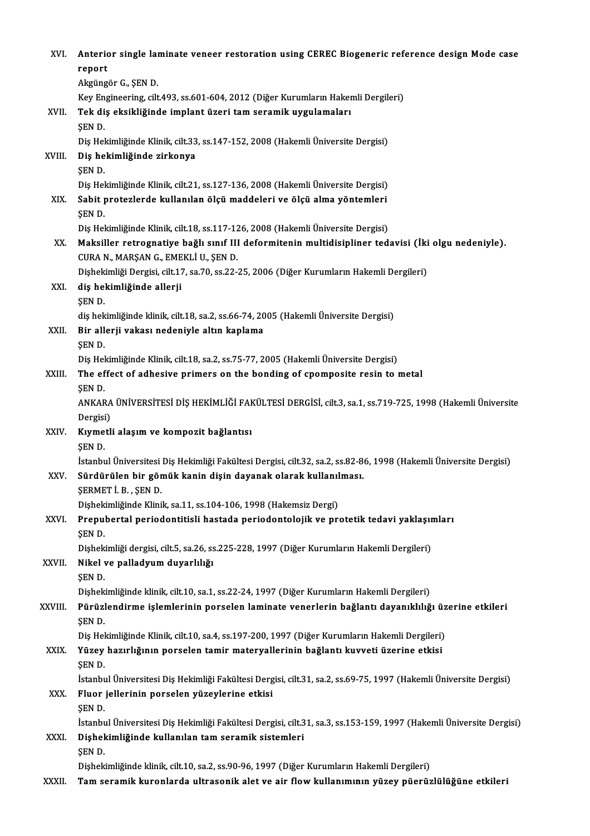| XVI.        | Anterior single laminate veneer restoration using CEREC Biogeneric reference design Mode case<br>report                                                                            |
|-------------|------------------------------------------------------------------------------------------------------------------------------------------------------------------------------------|
|             | Akgüngör G., ŞEN D.                                                                                                                                                                |
|             | Key Engineering, cilt.493, ss.601-604, 2012 (Diğer Kurumların Hakemli Dergileri)                                                                                                   |
| XVII.       | Tek diş eksikliğinde implant üzeri tam seramik uygulamaları                                                                                                                        |
|             | ŞEN D.                                                                                                                                                                             |
| XVIII.      | Diş Hekimliğinde Klinik, cilt.33, ss.147-152, 2008 (Hakemli Üniversite Dergisi)<br>Diş hekimliğinde zirkonya                                                                       |
|             | <b>SEND</b>                                                                                                                                                                        |
|             | Diş Hekimliğinde Klinik, cilt.21, ss.127-136, 2008 (Hakemli Üniversite Dergisi)                                                                                                    |
| XIX.        | Sabit protezlerde kullanılan ölçü maddeleri ve ölçü alma yöntemleri                                                                                                                |
|             | SEN D.                                                                                                                                                                             |
|             | Diş Hekimliğinde Klinik, cilt.18, ss.117-126, 2008 (Hakemli Üniversite Dergisi)                                                                                                    |
| XX          | Maksiller retrognatiye bağlı sınıf III deformitenin multidisipliner tedavisi (İki olgu nedeniyle).                                                                                 |
|             | CURA N., MARŞAN G., EMEKLİ U., ŞEN D.                                                                                                                                              |
|             | Dişhekimliği Dergisi, cilt.17, sa.70, ss.22-25, 2006 (Diğer Kurumların Hakemli Dergileri)                                                                                          |
| XXI.        | diş hekimliğinde allerji                                                                                                                                                           |
|             | ŞEN D                                                                                                                                                                              |
| XXII.       | diş hekimliğinde klinik, cilt.18, sa.2, ss.66-74, 2005 (Hakemli Üniversite Dergisi)<br>Bir allerji vakası nedeniyle altın kaplama                                                  |
|             | SEN D.                                                                                                                                                                             |
|             | Diş Hekimliğinde Klinik, cilt.18, sa.2, ss.75-77, 2005 (Hakemli Üniversite Dergisi)                                                                                                |
| XXIII.      | The effect of adhesive primers on the bonding of cpomposite resin to metal                                                                                                         |
|             | SEN D                                                                                                                                                                              |
|             | ANKARA ÜNİVERSİTESİ DİŞ HEKİMLİĞİ FAKÜLTESİ DERGİSİ, cilt.3, sa.1, ss.719-725, 1998 (Hakemli Üniversite                                                                            |
|             | Dergisi)                                                                                                                                                                           |
| <b>XXIV</b> | Kıymetli alaşım ve kompozit bağlantısı                                                                                                                                             |
|             | SEN D                                                                                                                                                                              |
| XXV.        | İstanbul Üniversitesi Diş Hekimliği Fakültesi Dergisi, cilt.32, sa.2, ss.82-86, 1998 (Hakemli Üniversite Dergisi)<br>Sürdürülen bir gömük kanin dişin dayanak olarak kullanılması. |
|             | SERMET İB, SEND                                                                                                                                                                    |
|             | Dişhekimliğinde Klinik, sa.11, ss.104-106, 1998 (Hakemsiz Dergi)                                                                                                                   |
| XXVI.       | Prepubertal periodontitisli hastada periodontolojik ve protetik tedavi yaklaşımları                                                                                                |
|             | ŞEN D                                                                                                                                                                              |
|             | Dişhekimliği dergisi, cilt.5, sa.26, ss.225-228, 1997 (Diğer Kurumların Hakemli Dergileri)                                                                                         |
| XXVII.      | Nikel ve palladyum duyarlılığı                                                                                                                                                     |
|             | SEN D.                                                                                                                                                                             |
|             | Dişhekimliğinde klinik, cilt.10, sa.1, ss.22-24, 1997 (Diğer Kurumların Hakemli Dergileri)                                                                                         |
| XXVIII.     | Pürüzlendirme işlemlerinin porselen laminate venerlerin bağlantı dayanıklılığı üzerine etkileri                                                                                    |
|             | ŞEN D.<br>Diş Hekimliğinde Klinik, cilt.10, sa.4, ss.197-200, 1997 (Diğer Kurumların Hakemli Dergileri)                                                                            |
| XXIX.       | Yüzey hazırlığının porselen tamir materyallerinin bağlantı kuvveti üzerine etkisi                                                                                                  |
|             | ŞEN D.                                                                                                                                                                             |
|             | İstanbul Üniversitesi Diş Hekimliği Fakültesi Dergisi, cilt.31, sa.2, ss.69-75, 1997 (Hakemli Üniversite Dergisi)                                                                  |
| XXX.        | Fluor jellerinin porselen yüzeylerine etkisi                                                                                                                                       |
|             | SEN D.                                                                                                                                                                             |
|             | İstanbul Üniversitesi Diş Hekimliği Fakültesi Dergisi, cilt.31, sa.3, ss.153-159, 1997 (Hakemli Üniversite Dergisi)                                                                |
| XXXI.       | Dişhekimliğinde kullanılan tam seramik sistemleri                                                                                                                                  |
|             | SEN D.                                                                                                                                                                             |
|             | Dişhekimliğinde klinik, cilt.10, sa.2, ss.90-96, 1997 (Diğer Kurumların Hakemli Dergileri)                                                                                         |
| XXXII.      | Tam seramik kuronlarda ultrasonik alet ve air flow kullanımının yüzey püerüzlülüğüne etkileri                                                                                      |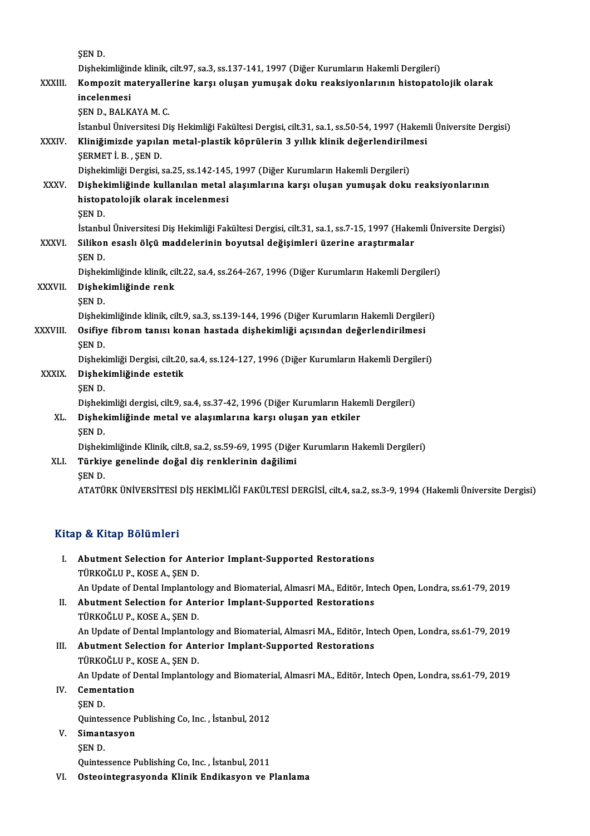|               | ŞEN D.                                                                                                            |
|---------------|-------------------------------------------------------------------------------------------------------------------|
|               | Dişhekimliğinde klinik, cilt.97, sa.3, ss.137-141, 1997 (Diğer Kurumların Hakemli Dergileri)                      |
| <b>XXXIII</b> | Kompozit materyallerine karşı oluşan yumuşak doku reaksiyonlarının histopatolojik olarak                          |
|               | incelenmesi                                                                                                       |
|               | ŞEN D., BALKAYA M. C.                                                                                             |
|               | İstanbul Üniversitesi Diş Hekimliği Fakültesi Dergisi, cilt.31, sa.1, ss.50-54, 1997 (Hakemli Üniversite Dergisi) |
| XXXIV.        | Kliniğimizde yapılan metal-plastik köprülerin 3 yıllık klinik değerlendirilmesi<br>ŞERMET İ B, ŞEN D              |
|               | Dişhekimliği Dergisi, sa.25, ss.142-145, 1997 (Diğer Kurumların Hakemli Dergileri)                                |
| <b>XXXV</b>   | Dişhekimliğinde kullanılan metal alaşımlarına karşı oluşan yumuşak doku reaksiyonlarının                          |
|               | histopatolojik olarak incelenmesi                                                                                 |
|               | <b>SEND</b>                                                                                                       |
|               | İstanbul Üniversitesi Diş Hekimliği Fakültesi Dergisi, cilt.31, sa.1, ss.7-15, 1997 (Hakemli Üniversite Dergisi)  |
| <b>XXXVI</b>  | Silikon esaslı ölçü maddelerinin boyutsal değişimleri üzerine araştırmalar                                        |
|               | ŞEN D.                                                                                                            |
|               | Dişhekimliğinde klinik, cilt.22, sa.4, ss.264-267, 1996 (Diğer Kurumların Hakemli Dergileri)                      |
| XXXVII.       | Dişhekimliğinde renk                                                                                              |
|               | ŞEN D.                                                                                                            |
|               | Dişhekimliğinde klinik, cilt.9, sa.3, ss.139-144, 1996 (Diğer Kurumların Hakemli Dergileri)                       |
| XXXVIII.      | Osifiye fibrom tanısı konan hastada dişhekimliği açısından değerlendirilmesi                                      |
|               | <b>SEND</b>                                                                                                       |
|               | Dişhekimliği Dergisi, cilt.20, sa.4, ss.124-127, 1996 (Diğer Kurumların Hakemli Dergileri)                        |
| <b>XXXIX</b>  | Dişhekimliğinde estetik                                                                                           |
|               | <b>SEND</b>                                                                                                       |
|               | Dişhekimliği dergisi, cilt 9, sa.4, ss.37-42, 1996 (Diğer Kurumların Hakemli Dergileri)                           |
| XL.           | Dişhekimliğinde metal ve alaşımlarına karşı oluşan yan etkiler                                                    |
|               | <b>SEND</b>                                                                                                       |
|               | Dişhekimliğinde Klinik, cilt.8, sa.2, ss.59-69, 1995 (Diğer Kurumların Hakemli Dergileri)                         |
| XLI.          | Türkiye genelinde doğal diş renklerinin dağilimi                                                                  |
|               | <b>ŞEND.</b>                                                                                                      |
|               | ATATÜRK ÜNIVERSİTESI DIŞ HEKIMLIĞI FAKÜLTESI DERGISI, cilt.4, sa.2, ss.3-9, 1994 (Hakemli Üniversite Dergisi)     |

### Kitap & Kitap Bölümleri

- Itap & Kitap Bölümleri<br>I. Abutment Selection for Anterior Implant-Supported Restorations<br>TÜRKOČLUR KOSEA SEND Abutment Selection for Ant<br>Abutment Selection for Ant<br>TÜRKOĞLU P., KOSE A., ŞEN D. TÜRKOĞLU P., KOSE A., ŞEN D.<br>An Update of Dental Implantology and Biomaterial, Almasri MA., Editör, Intech Open, Londra, ss.61-79, 2019 TÜRKOĞLU P., KOSE A., ŞEN D.<br>An Update of Dental Implantology and Biomaterial, Almasri MA., Editör, Int<br>II. Abutment Selection for Anterior Implant-Supported Restorations<br>TÜRKOĞLU R. KOSE A. SEN D.
- An Update of Dental Implantol<br>Abutment Selection for Ant<br>TÜRKOĞLU P., KOSE A., ŞEN D.<br>An Undate of Dental Implantol TÜRKOĞLU P., KOSE A., ŞEN D.<br>An Update of Dental Implantology and Biomaterial, Almasri MA., Editör, Intech Open, Londra, ss.61-79, 2019 TÜRKOĞLU P., KOSE A., ŞEN D.<br>An Update of Dental Implantology and Biomaterial, Almasri MA., Editör, Int<br>III. Abutment Selection for Anterior Implant-Supported Restorations<br>TÜRKOĞLU R. KOSE A. SEN D.

## An Update of Dental Implantol<br>Abutment Selection for Ant<br>TÜRKOĞLU P., KOSE A., ŞEN D.<br>An Undate of Dental Implantol Abutment Selection for Anterior Implant-Supported Restorations<br>TÜRKOĞLU P., KOSE A., ŞEN D.<br>An Update of Dental Implantology and Biomaterial, Almasri MA., Editör, Intech Open, Londra, ss.61-79, 2019<br>Comentation TÜRKOĞLU P., KOSE A., ŞEN D.<br>An Update of Dental Implantol<br>IV. Cementation<br>SEN D.

An Upd<br>Cemen<br>ŞEN D.<br>Quintes Cementation<br>ŞEN D.<br>Quintessence Publishing Co, Inc. , İstanbul, 2012<br>Simantasyon Quintes<br>Siman<br>ŞEN D.

### V. Simantasyon

Quintessence Publishing Co, Inc., İstanbul, 2011

VI. Osteointegrasyonda Klinik Endikasyon ve Planlama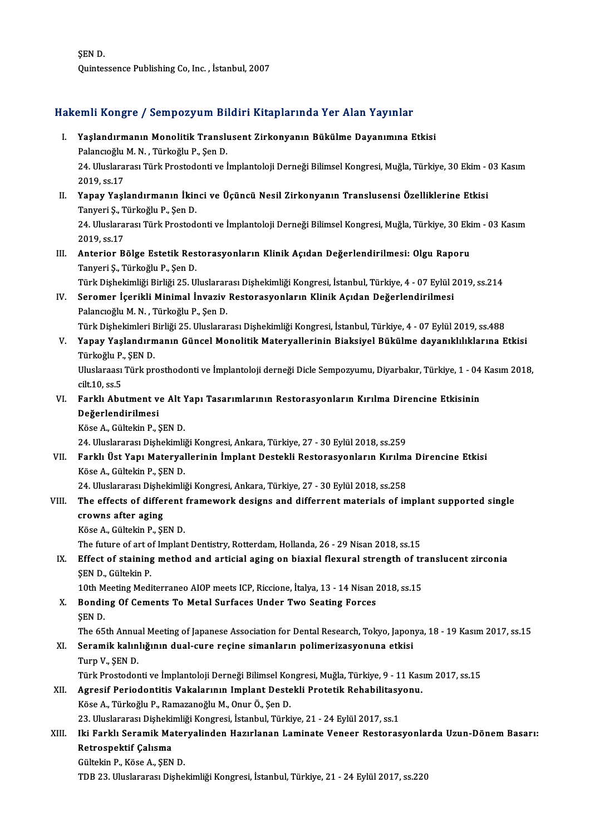ŞEND. Quintessence Publishing Co, Inc., İstanbul, 2007

# quintessence Publisning Co, Inc. , Istanbul, 2007<br>Hakemli Kongre / Sempozyum Bildiri Kitaplarında Yer Alan Yayınlar

|       | Hakemli Kongre / Sempozyum Bildiri Kitaplarında Yer Alan Yayınlar                                                                                                                                   |
|-------|-----------------------------------------------------------------------------------------------------------------------------------------------------------------------------------------------------|
| Ι.    | Yaşlandırmanın Monolitik Translusent Zirkonyanın Bükülme Dayanımına Etkisi<br>Palancıoğlu M. N., Türkoğlu P., Şen D.                                                                                |
|       | 24. Uluslararası Türk Prostodonti ve İmplantoloji Derneği Bilimsel Kongresi, Muğla, Türkiye, 30 Ekim - 03 Kasım<br>2019, ss 17                                                                      |
| П.    | Yapay Yaşlandırmanın İkinci ve Üçüncü Nesil Zirkonyanın Translusensi Özelliklerine Etkisi<br>Tanyeri Ş., Türkoğlu P., Şen D.                                                                        |
|       | 24. Uluslararası Türk Prostodonti ve İmplantoloji Derneği Bilimsel Kongresi, Muğla, Türkiye, 30 Ekim - 03 Kasım<br>2019, ss 17                                                                      |
| Ш.    | Anterior Bölge Estetik Restorasyonların Klinik Açıdan Değerlendirilmesi: Olgu Raporu<br>Tanyeri Ş., Türkoğlu P., Şen D.                                                                             |
| IV.   | Türk Dişhekimliği Birliği 25. Uluslararası Dişhekimliği Kongresi, İstanbul, Türkiye, 4 - 07 Eylül 2019, ss.214<br>Seromer İçerikli Minimal İnvaziv Restorasyonların Klinik Açıdan Değerlendirilmesi |
|       | Palancıoğlu M. N., Türkoğlu P., Şen D.<br>Türk Dişhekimleri Birliği 25. Uluslararası Dişhekimliği Kongresi, İstanbul, Türkiye, 4 - 07 Eylül 2019, ss.488                                            |
| V.    | Yapay Yaşlandırmanın Güncel Monolitik Materyallerinin Biaksiyel Bükülme dayanıklılıklarına Etkisi<br>Türkoğlu P., ŞEN D.                                                                            |
|       | Uluslaraası Türk prosthodonti ve İmplantoloji derneği Dicle Sempozyumu, Diyarbakır, Türkiye, 1 - 04 Kasım 2018,<br>cilt 10, ss 5                                                                    |
| VI.   | Farklı Abutment ve Alt Yapı Tasarımlarının Restorasyonların Kırılma Direncine Etkisinin<br>Değerlendirilmesi                                                                                        |
|       | Köse A., Gültekin P., SEN D.<br>24. Uluslararası Dişhekimliği Kongresi, Ankara, Türkiye, 27 - 30 Eylül 2018, ss 259                                                                                 |
| VII.  | Farklı Üst Yapı Materyallerinin İmplant Destekli Restorasyonların Kırılma Direncine Etkisi<br>Köse A., Gültekin P., SEN D.                                                                          |
| VIII. | 24. Uluslararası Dişhekimliği Kongresi, Ankara, Türkiye, 27 - 30 Eylül 2018, ss.258<br>The effects of different framework designs and differrent materials of implant supported single              |
|       | crowns after aging<br>Köse A., Gültekin P., SEN D.                                                                                                                                                  |
|       | The future of art of Implant Dentistry, Rotterdam, Hollanda, 26 - 29 Nisan 2018, ss.15                                                                                                              |
| IX.   | Effect of staining method and articial aging on biaxial flexural strength of translucent zirconia<br>SEN D., Gültekin P.                                                                            |
|       | 10th Meeting Mediterraneo AIOP meets ICP, Riccione, İtalya, 13 - 14 Nisan 2018, ss.15                                                                                                               |
| X.    | Bonding Of Cements To Metal Surfaces Under Two Seating Forces<br>SEN D.                                                                                                                             |
| XI.   | The 65th Annual Meeting of Japanese Association for Dental Research, Tokyo, Japonya, 18 - 19 Kasım 2017, ss.15<br>Seramik kalınlığının dual-cure reçine simanların polimerizasyonuna etkisi         |
|       | Turp V., ŞEN D.<br>Türk Prostodonti ve İmplantoloji Derneği Bilimsel Kongresi, Muğla, Türkiye, 9 - 11 Kasım 2017, ss.15                                                                             |
| XII.  | Agresif Periodontitis Vakalarının Implant Destekli Protetik Rehabilitasyonu.<br>Köse A., Türkoğlu P., Ramazanoğlu M., Onur Ö., Şen D.                                                               |
|       | 23. Uluslararası Dişhekimliği Kongresi, İstanbul, Türkiye, 21 - 24 Eylül 2017, ss.1                                                                                                                 |
| XIII. | Iki Farklı Seramik Materyalinden Hazırlanan Laminate Veneer Restorasyonlarda Uzun-Dönem Basarı:<br>Retrospektif Çalısma                                                                             |
|       | Gültekin P., Köse A., ŞEN D.                                                                                                                                                                        |
|       | TDB 23. Uluslararası Dişhekimliği Kongresi, İstanbul, Türkiye, 21 - 24 Eylül 2017, ss.220                                                                                                           |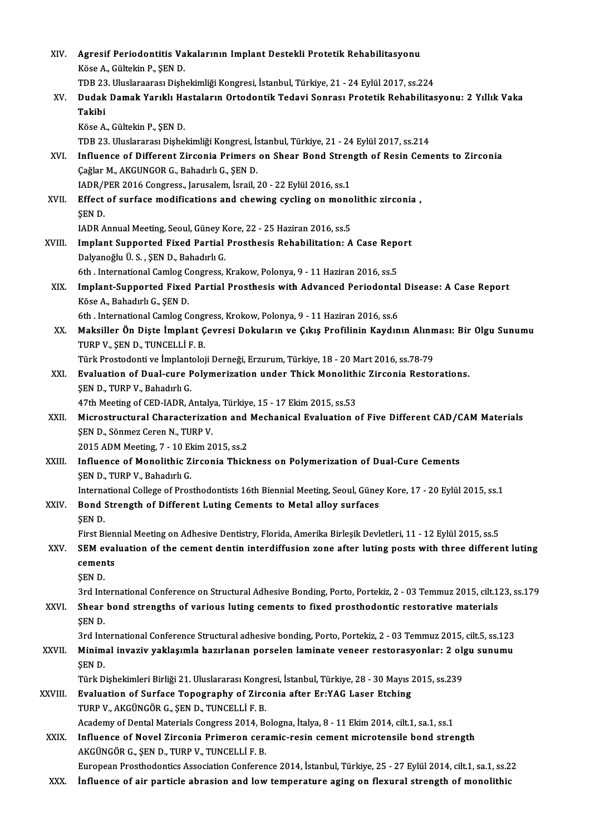| XIV.    | Agresif Periodontitis Vakalarının Implant Destekli Protetik Rehabilitasyonu                                                                                                                                   |
|---------|---------------------------------------------------------------------------------------------------------------------------------------------------------------------------------------------------------------|
|         | Köse A., Gültekin P., ŞEN D.                                                                                                                                                                                  |
|         | TDB 23. Uluslaraarası Dişhekimliği Kongresi, İstanbul, Türkiye, 21 - 24 Eylül 2017, ss.224                                                                                                                    |
| XV.     | Dudak Damak Yarıklı Hastaların Ortodontik Tedavi Sonrası Protetik Rehabilitasyonu: 2 Yıllık Vaka<br>Takibi                                                                                                    |
|         | Köse A., Gültekin P., ŞEN D.                                                                                                                                                                                  |
|         | TDB 23. Uluslararası Dişhekimliği Kongresi, İstanbul, Türkiye, 21 - 24 Eylül 2017, ss.214                                                                                                                     |
| XVI.    | Influence of Different Zirconia Primers on Shear Bond Strength of Resin Cements to Zirconia                                                                                                                   |
|         | Çağlar M., AKGUNGOR G., Bahadırlı G., ŞEN D.                                                                                                                                                                  |
|         | IADR/PER 2016 Congress., Jarusalem, İsrail, 20 - 22 Eylül 2016, ss.1                                                                                                                                          |
| XVII.   | Effect of surface modifications and chewing cycling on monolithic zirconia,<br>SEN D.                                                                                                                         |
|         | IADR Annual Meeting, Seoul, Güney Kore, 22 - 25 Haziran 2016, ss.5                                                                                                                                            |
| XVIII.  | Implant Supported Fixed Partial Prosthesis Rehabilitation: A Case Report                                                                                                                                      |
|         | Dalyanoğlu Ü.S., ŞEN D., Bahadırlı G.                                                                                                                                                                         |
|         | 6th . International Camlog Congress, Krakow, Polonya, 9 - 11 Haziran 2016, ss.5                                                                                                                               |
| XIX.    | Implant-Supported Fixed Partial Prosthesis with Advanced Periodontal Disease: A Case Report                                                                                                                   |
|         | Köse A., Bahadırlı G., ŞEN D.<br>6th. International Camlog Congress, Krokow, Polonya, 9 - 11 Haziran 2016, ss.6                                                                                               |
| XX.     | Maksiller Ön Dişte İmplant Çevresi Dokuların ve Çıkış Profilinin Kaydının Alınması: Bir Olgu Sunumu                                                                                                           |
|         | TURP V., ŞEN D., TUNCELLİ F. B.                                                                                                                                                                               |
|         | Türk Prostodonti ve İmplantoloji Derneği, Erzurum, Türkiye, 18 - 20 Mart 2016, ss.78-79                                                                                                                       |
| XXI.    | Evaluation of Dual-cure Polymerization under Thick Monolithic Zirconia Restorations.                                                                                                                          |
|         | ŞEN D., TURP V., Bahadırlı G.                                                                                                                                                                                 |
|         | 47th Meeting of CED-IADR, Antalya, Türkiye, 15 - 17 Ekim 2015, ss.53                                                                                                                                          |
| XXII.   | Microstructural Characterization and Mechanical Evaluation of Five Different CAD/CAM Materials                                                                                                                |
|         | SEN D., Sönmez Ceren N., TURP V.<br>2015 ADM Meeting, 7 - 10 Ekim 2015, ss 2                                                                                                                                  |
| XXIII.  | Influence of Monolithic Zirconia Thickness on Polymerization of Dual-Cure Cements                                                                                                                             |
|         | SEN D., TURP V., Bahadırlı G.                                                                                                                                                                                 |
|         | International College of Prosthodontists 16th Biennial Meeting, Seoul, Güney Kore, 17 - 20 Eylül 2015, ss.1                                                                                                   |
| XXIV.   | Bond Strength of Different Luting Cements to Metal alloy surfaces<br>SEN D.                                                                                                                                   |
|         | First Biennial Meeting on Adhesive Dentistry, Florida, Amerika Birleşik Devletleri, 11 - 12 Eylül 2015, ss.5                                                                                                  |
| XXV.    | SEM evaluation of the cement dentin interdiffusion zone after luting posts with three different luting                                                                                                        |
|         | cements                                                                                                                                                                                                       |
|         | ŞEN D.                                                                                                                                                                                                        |
|         | 3rd International Conference on Structural Adhesive Bonding, Porto, Portekiz, 2 - 03 Temmuz 2015, cilt.123, ss.179                                                                                            |
| XXVI.   | Shear bond strengths of various luting cements to fixed prosthodontic restorative materials                                                                                                                   |
|         | ŞEN D.                                                                                                                                                                                                        |
| XXVII.  | 3rd International Conference Structural adhesive bonding, Porto, Portekiz, 2 - 03 Temmuz 2015, cilt.5, ss.123<br>Minimal invaziv yaklaşımla hazırlanan porselen laminate veneer restorasyonlar: 2 olgu sunumu |
|         | ŞEN D.                                                                                                                                                                                                        |
|         | Türk Dişhekimleri Birliği 21. Uluslararası Kongresi, İstanbul, Türkiye, 28 - 30 Mayıs 2015, ss.239                                                                                                            |
| XXVIII. | Evaluation of Surface Topography of Zirconia after Er:YAG Laser Etching                                                                                                                                       |
|         | TURP V., AKGÜNGÖR G., ŞEN D., TUNCELLİ F. B.                                                                                                                                                                  |
|         | Academy of Dental Materials Congress 2014, Bologna, İtalya, 8 - 11 Ekim 2014, cilt.1, sa.1, ss.1                                                                                                              |
| XXIX.   | Influence of Novel Zirconia Primeron ceramic-resin cement microtensile bond strength                                                                                                                          |
|         | AKGÜNGÖR G., ŞEN D., TURP V., TUNCELLİ F. B.                                                                                                                                                                  |
|         | European Prosthodontics Association Conference 2014, İstanbul, Türkiye, 25 - 27 Eylül 2014, cilt.1, sa.1, ss.22                                                                                               |
| XXX.    | Influence of air particle abrasion and low temperature aging on flexural strength of monolithic                                                                                                               |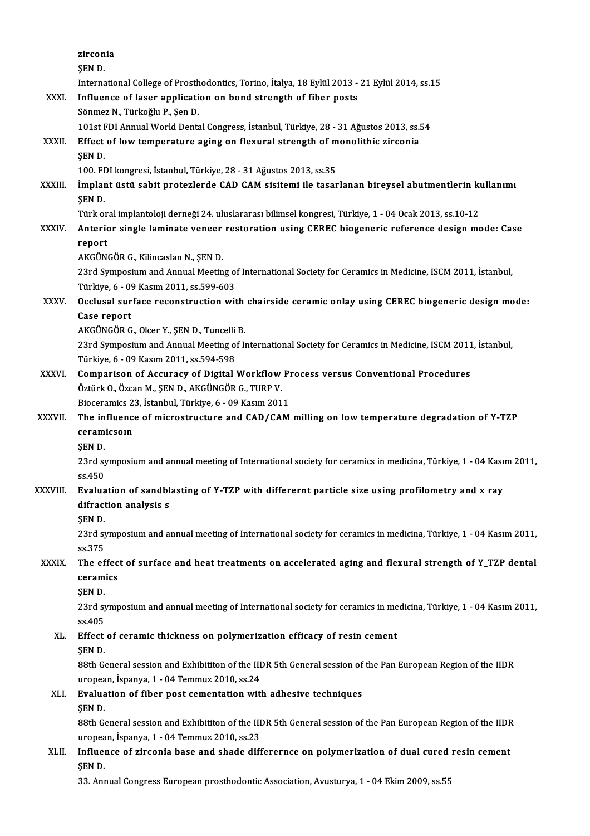|               | zirconia                                                                                                         |
|---------------|------------------------------------------------------------------------------------------------------------------|
|               | ŞEN D.                                                                                                           |
|               | International College of Prosthodontics, Torino, İtalya, 18 Eylül 2013 - 21 Eylül 2014, ss.15                    |
| XXXI.         | Influence of laser application on bond strength of fiber posts                                                   |
|               | Sönmez N., Türkoğlu P., Şen D.                                                                                   |
|               | 101st FDI Annual World Dental Congress, İstanbul, Türkiye, 28 - 31 Ağustos 2013, ss.54                           |
| XXXII.        | Effect of low temperature aging on flexural strength of monolithic zirconia                                      |
|               | ŞEN D.                                                                                                           |
|               | 100. FDI kongresi, İstanbul, Türkiye, 28 - 31 Ağustos 2013, ss.35                                                |
| XXXIII.       | İmplant üstü sabit protezlerde CAD CAM sisitemi ile tasarlanan bireysel abutmentlerin kullanımı                  |
|               | <b>SEND</b>                                                                                                      |
|               | Türk oral implantoloji derneği 24. uluslararası bilimsel kongresi, Türkiye, 1 - 04 Ocak 2013, ss.10-12           |
| <b>XXXIV</b>  | Anterior single laminate veneer restoration using CEREC biogeneric reference design mode: Case                   |
|               | report                                                                                                           |
|               | AKGÜNGÖR G., Kilincaslan N., ŞEN D.                                                                              |
|               | 23rd Symposium and Annual Meeting of International Society for Ceramics in Medicine, ISCM 2011, İstanbul,        |
|               | Türkiye, 6 - 09 Kasım 2011, ss 599-603                                                                           |
| XXXV.         | Occlusal surface reconstruction with chairside ceramic onlay using CEREC biogeneric design mode:                 |
|               | Case report                                                                                                      |
|               | AKGÜNGÖR G., Olcer Y., ŞEN D., Tuncelli B.                                                                       |
|               | 23rd Symposium and Annual Meeting of International Society for Ceramics in Medicine, ISCM 2011, İstanbul,        |
|               | Türkiye, 6 - 09 Kasım 2011, ss.594-598                                                                           |
| <b>XXXVI</b>  | Comparison of Accuracy of Digital Workflow Process versus Conventional Procedures                                |
|               | Öztürk O., Özcan M., ŞEN D., AKGÜNGÖR G., TURP V.<br>Bioceramics 23, İstanbul, Türkiye, 6 - 09 Kasım 2011        |
| <b>XXXVII</b> | The influence of microstructure and CAD/CAM milling on low temperature degradation of Y-TZP                      |
|               | ceramicsoin                                                                                                      |
|               | <b>SEND</b>                                                                                                      |
|               | 23rd symposium and annual meeting of International society for ceramics in medicina, Türkiye, 1 - 04 Kasım 2011, |
|               | ss 450                                                                                                           |
| XXXVIII.      | Evaluation of sandblasting of Y-TZP with differernt particle size using profilometry and x ray                   |
|               | difraction analysis s                                                                                            |
|               | ŞEN D                                                                                                            |
|               | 23rd symposium and annual meeting of International society for ceramics in medicina, Türkiye, 1 - 04 Kasım 2011, |
|               | ss 375                                                                                                           |
| <b>XXXIX</b>  | The effect of surface and heat treatments on accelerated aging and flexural strength of Y_TZP dental             |
|               | ceramics                                                                                                         |
|               | ŞEN D.                                                                                                           |
|               | 23rd symposium and annual meeting of International society for ceramics in medicina, Türkiye, 1 - 04 Kasım 2011, |
|               | ss 405                                                                                                           |
| XL.           | Effect of ceramic thickness on polymerization efficacy of resin cement                                           |
|               | SEN D.                                                                                                           |
|               | 88th General session and Exhibititon of the IIDR 5th General session of the Pan European Region of the IIDR      |
|               | uropean, İspanya, 1 - 04 Temmuz 2010, ss 24                                                                      |
| XLI.          | Evaluation of fiber post cementation with adhesive techniques<br>SEN D.                                          |
|               | 88th General session and Exhibititon of the IIDR 5th General session of the Pan European Region of the IIDR      |
|               | uropean, İspanya, 1 - 04 Temmuz 2010, ss.23                                                                      |
| XLII.         | Influence of zirconia base and shade differernce on polymerization of dual cured resin cement                    |
|               | SEN D                                                                                                            |
|               | 33. Annual Congress European prosthodontic Association, Avusturya, 1 - 04 Ekim 2009, ss.55                       |
|               |                                                                                                                  |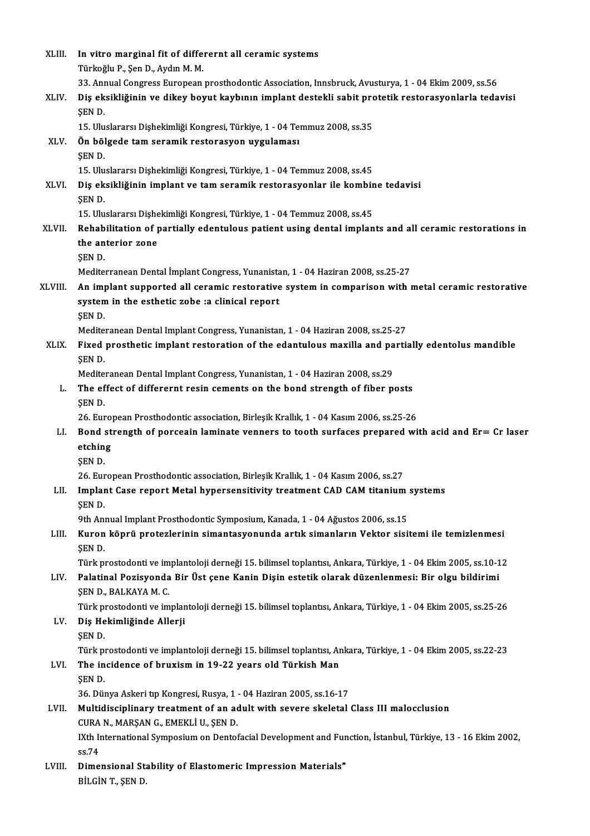| XLIII.       | In vitro marginal fit of differernt all ceramic systems                                                                                |
|--------------|----------------------------------------------------------------------------------------------------------------------------------------|
|              | Türkoğlu P., Şen D., Aydın M. M.                                                                                                       |
|              | 33. Annual Congress European prosthodontic Association, Innsbruck, Avusturya, 1 - 04 Ekim 2009, ss.56                                  |
| XLIV.        | Diş eksikliğinin ve dikey boyut kaybının implant destekli sabit protetik restorasyonlarla tedavisi                                     |
|              | ŞEN D.<br>15. Uluslararsı Dişhekimliği Kongresi, Türkiye, 1 - 04 Temmuz 2008, ss.35                                                    |
| XLV.         | Ön bölgede tam seramik restorasyon uygulaması                                                                                          |
|              | SEN D.                                                                                                                                 |
|              | 15. Uluslararsı Dişhekimliği Kongresi, Türkiye, 1 - 04 Temmuz 2008, ss.45                                                              |
| XLVI.        | Diş eksikliğinin implant ve tam seramik restorasyonlar ile kombine tedavisi                                                            |
|              | <b>SEND</b>                                                                                                                            |
|              | 15. Uluslararsı Dişhekimliği Kongresi, Türkiye, 1 - 04 Temmuz 2008, ss.45                                                              |
| <b>XLVII</b> | Rehabilitation of partially edentulous patient using dental implants and all ceramic restorations in                                   |
|              | the anterior zone                                                                                                                      |
|              | ŞEN D<br>Mediterranean Dental İmplant Congress, Yunanistan, 1 - 04 Haziran 2008, ss.25-27                                              |
| XLVIII.      | An implant supported all ceramic restorative system in comparison with metal ceramic restorative                                       |
|              | system in the esthetic zobe :a clinical report                                                                                         |
|              | ŞEN D.                                                                                                                                 |
|              | Mediteranean Dental Implant Congress, Yunanistan, 1 - 04 Haziran 2008, ss.25-27                                                        |
| XLIX.        | Fixed prosthetic implant restoration of the edantulous maxilla and partially edentolus mandible                                        |
|              | ŞEN D.                                                                                                                                 |
|              | Mediteranean Dental Implant Congress, Yunanistan, 1 - 04 Haziran 2008, ss.29                                                           |
| L.           | The effect of differernt resin cements on the bond strength of fiber posts                                                             |
|              | SEN D.                                                                                                                                 |
|              | 26. European Prosthodontic association, Birleşik Krallık, 1 - 04 Kasım 2006, ss.25-26                                                  |
| LI.          | Bond strength of porceain laminate venners to tooth surfaces prepared with acid and Er= Cr laser<br>etching                            |
|              | SEN D.                                                                                                                                 |
|              | 26. European Prosthodontic association, Birleşik Krallık, 1 - 04 Kasım 2006, ss.27                                                     |
| LII.         | Implant Case report Metal hypersensitivity treatment CAD CAM titanium systems                                                          |
|              | SEN D.                                                                                                                                 |
|              | 9th Annual Implant Prosthodontic Symposium, Kanada, 1 - 04 Ağustos 2006, ss.15                                                         |
| LIII.        | Kuron köprü protezlerinin simantasyonunda artık simanların Vektor sisitemi ile temizlenmesi                                            |
|              | ŞEN D.                                                                                                                                 |
|              | Türk prostodonti ve implantoloji derneği 15. bilimsel toplantısı, Ankara, Türkiye, 1 - 04 Ekim 2005, ss.10-12                          |
| LIV.         | Palatinal Pozisyonda Bir Üst çene Kanin Dişin estetik olarak düzenlenmesi: Bir olgu bildirimi                                          |
|              | ŞEN D., BALKAYA M. C.<br>Türk prostodonti ve implantoloji derneği 15. bilimsel toplantısı, Ankara, Türkiye, 1 - 04 Ekim 2005, ss.25-26 |
| LV.          | Diş Hekimliğinde Allerji                                                                                                               |
|              | SEN D.                                                                                                                                 |
|              | Türk prostodonti ve implantoloji derneği 15. bilimsel toplantısı, Ankara, Türkiye, 1 - 04 Ekim 2005, ss.22-23                          |
| LVI.         | The incidence of bruxism in 19-22 years old Türkish Man                                                                                |
|              | ŞEN D.                                                                                                                                 |
|              | 36. Dünya Askeri tıp Kongresi, Rusya, 1 - 04 Haziran 2005, ss.16-17                                                                    |
| LVII.        | Multidisciplinary treatment of an adult with severe skeletal Class III malocclusion                                                    |
|              | CURA N., MARŞAN G., EMEKLİ U., ŞEN D.                                                                                                  |
|              | IXth International Symposium on Dentofacial Development and Function, İstanbul, Türkiye, 13 - 16 Ekim 2002,                            |
| LVIII.       | ss 74<br>Dimensional Stability of Elastomeric Impression Materials"                                                                    |
|              | BİLGİN T., ŞEN D.                                                                                                                      |
|              |                                                                                                                                        |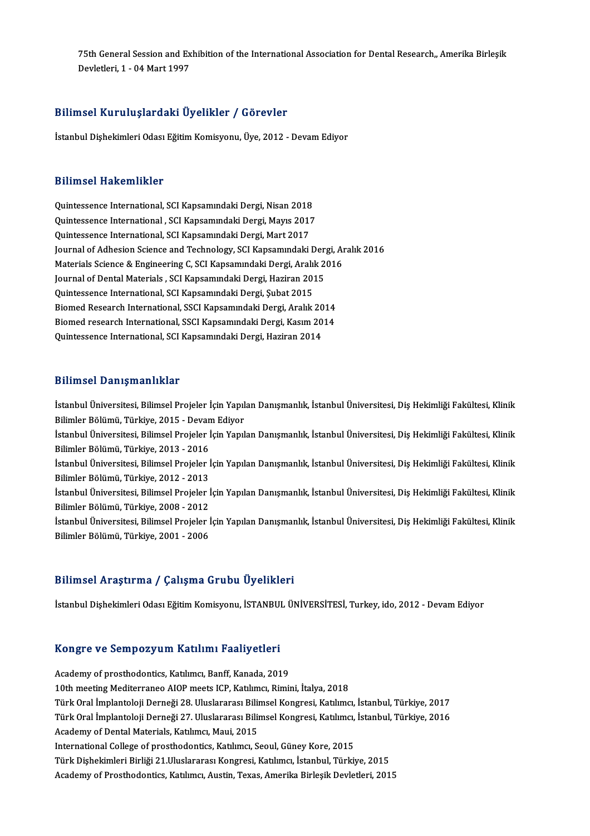75th General Session and Exhibition of the International Association for Dental Research,, Amerika Birleşik<br>Revistioni 1, 04 Mert 1997 75th General Session and Ex<br>Devletleri, 1 - 04 Mart 1997

# Bilimsel KuruluşlardakiÜyelikler / Görevler

İstanbul Dişhekimleri Odası Eğitim Komisyonu, Üye, 2012 - Devam Ediyor

#### Bilimsel Hakemlikler

Quintessence International, SCI Kapsamındaki Dergi, Nisan 2018 Diffrator Indiventified<br>Quintessence International, SCI Kapsamındaki Dergi, Nisan 2018<br>Quintessence International , SCI Kapsamındaki Dergi, Mayıs 2017<br>Quintessence International SCI Kapsamındaki Dergi, Mayıt 2017 Quintessence International, SCI Kapsamındaki Dergi, Nisan 2018<br>Quintessence International , SCI Kapsamındaki Dergi, Mayıs 2017<br>Quintessence International, SCI Kapsamındaki Dergi, Mart 2017<br>Journal of Adhasian Ssiance and T Quintessence International , SCI Kapsamındaki Dergi, Mayıs 2017<br>Quintessence International, SCI Kapsamındaki Dergi, Mart 2017<br>Journal of Adhesion Science and Technology, SCI Kapsamındaki Dergi, Aralık 2016<br>Materiala Scienc Quintessence International, SCI Kapsamındaki Dergi, Mart 2017<br>Journal of Adhesion Science and Technology, SCI Kapsamındaki Dergi, Ar<br>Materials Science & Engineering C, SCI Kapsamındaki Dergi, Aralık 2016<br>Journal of Dontal Journal of Adhesion Science and Technology, SCI Kapsamındaki Dergi, Aralık 2<br>Materials Science & Engineering C, SCI Kapsamındaki Dergi, Aralık 2<br>Journal of Dental Materials , SCI Kapsamındaki Dergi, Haziran 2015<br>Quintessen Materials Science & Engineering C, SCI Kapsamındaki Dergi, Aralık 2016<br>Journal of Dental Materials , SCI Kapsamındaki Dergi, Haziran 2015<br>Quintessence International, SCI Kapsamındaki Dergi, Şubat 2015 Journal of Dental Materials , SCI Kapsamındaki Dergi, Haziran 2015<br>Quintessence International, SCI Kapsamındaki Dergi, Şubat 2015<br>Biomed Research International, SSCI Kapsamındaki Dergi, Aralık 2014<br>Biomed research Internat Quintessence International, SCI Kapsamındaki Dergi, Şubat 2015<br>Biomed Research International, SSCI Kapsamındaki Dergi, Aralık 2014<br>Biomed research International, SSCI Kapsamındaki Dergi, Kasım 2014<br>Quintessense Internation Biomed Research International, SSCI Kapsamındaki Dergi, Aralık 20<br>Biomed research International, SSCI Kapsamındaki Dergi, Kasım 20<br>Quintessence International, SCI Kapsamındaki Dergi, Haziran 2014 Quintessence International, SCI Kapsamındaki Dergi, Haziran 2014<br>Bilimsel Danışmanlıklar

Bilimsel Danışmanlıklar<br>İstanbul Üniversitesi, Bilimsel Projeler İçin Yapılan Danışmanlık, İstanbul Üniversitesi, Diş Hekimliği Fakültesi, Klinik<br>Bilimlar Pölümü, Türkiye, 2015, Devam Ediyer Bilimleri Büliymulilimler<br>İstanbul Üniversitesi, Bilimsel Projeler İçin Yapıl<br>Bilimler Bölümü, Türkiye, 2015 - Devam Ediyor<br>İstanbul Üniversitesi, Bilimsel Projeler İsin Yapıl İstanbul Üniversitesi, Bilimsel Projeler İçin Yapılan Danışmanlık, İstanbul Üniversitesi, Diş Hekimliği Fakültesi, Klinik<br>Bilimler Bölümü, Türkiye, 2015 - Devam Ediyor<br>İstanbul Üniversitesi, Bilimsel Projeler İçin Yapılan Bilimler Bölümü, Türkiye, 2015 - Devam Ediyor<br>İstanbul Üniversitesi, Bilimsel Projeler İçin Yapılan Danışmanlık, İstanbul Üniversitesi, Diş Hekimliği Fakültesi, Klinik<br>Bilimler Bölümü, Türkiye, 2013 - 2016 İstanbul Üniversitesi, Bilimsel Projeler İçin Yapılan Danışmanlık, İstanbul Üniversitesi, Diş Hekimliği Fakültesi, Klinik<br>Bilimler Bölümü, Türkiye, 2013 - 2016<br>İstanbul Üniversitesi, Bilimsel Projeler İçin Yapılan Danışman Bilimler Bölümü, Türkiye, 2013 - 2016<br>İstanbul Üniversitesi, Bilimsel Projeler İ<br>Bilimler Bölümü, Türkiye, 2012 - 2013<br>İstanbul Üniversitesi, Bilimsel Projelar İ İstanbul Üniversitesi, Bilimsel Projeler İçin Yapılan Danışmanlık, İstanbul Üniversitesi, Diş Hekimliği Fakültesi, Klinik<br>Bilimler Bölümü, Türkiye, 2012 - 2013<br>İstanbul Üniversitesi, Bilimsel Projeler İçin Yapılan Danışman Bilimler Bölümü, Türkiye, 2012 - 2013<br>İstanbul Üniversitesi, Bilimsel Projeler İ<br>Bilimler Bölümü, Türkiye, 2008 - 2012<br>İstanbul Üniversitesi, Bilimsel Projelar İ İstanbul Üniversitesi, Bilimsel Projeler İçin Yapılan Danışmanlık, İstanbul Üniversitesi, Diş Hekimliği Fakültesi, Klinik<br>Bilimler Bölümü, Türkiye, 2008 - 2012<br>İstanbul Üniversitesi, Bilimsel Projeler İçin Yapılan Danışman Bilimler Bölümü, Türkiye, 2008 - 2012<br>İstanbul Üniversitesi, Bilimsel Projeler İçin Yapılan Danışmanlık, İstanbul Üniversitesi, Diş Hekimliği Fakültesi, Klinik<br>Bilimler Bölümü, Türkiye, 2001 - 2006

#### Bilimsel Araştırma / Çalışma Grubu Üyelikleri

İstanbul Dişhekimleri Odası Eğitim Komisyonu, İSTANBUL ÜNİVERSİTESİ, Turkey, ido, 2012 - Devam Ediyor

# istanbul Dişnekimleri odası eğitim Komisyonu, istanbul<br>Kongre ve Sempozyum Katılımı Faaliyetleri

Kongre ve Sempozyum Katılımı Faaliyetleri<br>Academy of prosthodontics, Katılımcı, Banff, Kanada, 2019<br>10th meeting Mediterranee AJOB meeta ISB Katılımcı, Bimir Academy of prosthodontics, Katılımcı, Banff, Kanada, 2019<br>10th meeting Mediterraneo AIOP meets ICP, Katılımcı, Rimini, İtalya, 2018 Türk Oral İmplantoloji Derneği 28. Uluslararası Bilimsel Kongresi, Katılımcı, İstanbul, Türkiye, 2017 10th meeting Mediterraneo AIOP meets ICP, Katılımcı, Rimini, İtalya, 2018<br>Türk Oral İmplantoloji Derneği 28. Uluslararası Bilimsel Kongresi, Katılımcı, İstanbul, Türkiye, 2017<br>Türk Oral İmplantoloji Derneği 27. Uluslararas Türk Oral İmplantoloji Derneği 28. Uluslararası Bilin<br>Türk Oral İmplantoloji Derneği 27. Uluslararası Bilin<br>Academy of Dental Materials, Katılımcı, Maui, 2015<br>International Cellege of presthedentise Katılımcı, S Türk Oral İmplantoloji Derneği 27. Uluslararası Bilimsel Kongresi, Katılımcı,<br>Academy of Dental Materials, Katılımcı, Maui, 2015<br>International College of prosthodontics, Katılımcı, Seoul, Güney Kore, 2015<br>Türk Dishekimleri Academy of Dental Materials, Katılımcı, Maui, 2015<br>International College of prosthodontics, Katılımcı, Seoul, Güney Kore, 2015<br>Türk Dişhekimleri Birliği 21.Uluslararası Kongresi, Katılımcı, İstanbul, Türkiye, 2015 Academy of Prosthodontics, Katılımcı, Austin, Texas, Amerika Birleşik Devletleri, 2015